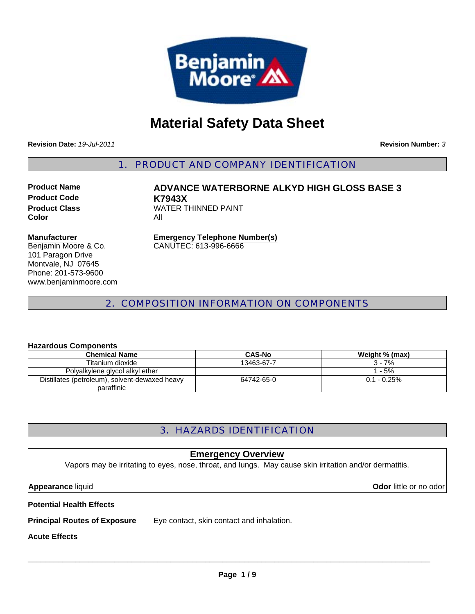

# **Material Safety Data Sheet**

**Revision Date:** *19-Jul-2011*

**Revision Number:** *3*

1. PRODUCT AND COMPANY IDENTIFICATION

**Product Code K7943X Color** All

**Product Name ADVANCE WATERBORNE ALKYD HIGH GLOSS BASE 3 Product Class WATER THINNED PAINT** 

#### **Manufacturer**

Benjamin Moore & Co. 101 Paragon Drive Montvale, NJ 07645 Phone: 201-573-9600 www.benjaminmoore.com **Emergency Telephone Number(s)** CANUTEC: 613-996-6666

### 2. COMPOSITION INFORMATION ON COMPONENTS

#### **Hazardous Components**

| <b>Chemical Name</b>                           | <b>CAS-No</b> | Weight % (max) |
|------------------------------------------------|---------------|----------------|
| Titanium dioxide                               | 13463-67-7    | $3 - 7%$       |
| Polyalkylene glycol alkyl ether                |               | 1 - 5%         |
| Distillates (petroleum), solvent-dewaxed heavy | 64742-65-0    | $0.1 - 0.25\%$ |
| paraffinic                                     |               |                |

## 3. HAZARDS IDENTIFICATION

#### **Emergency Overview**

Vapors may be irritating to eyes, nose, throat, and lungs. May cause skin irritation and/or dermatitis.

**Appearance** liquid **Odor** little or no odor

#### **Potential Health Effects**

**Principal Routes of Exposure** Eye contact, skin contact and inhalation.

#### **Acute Effects**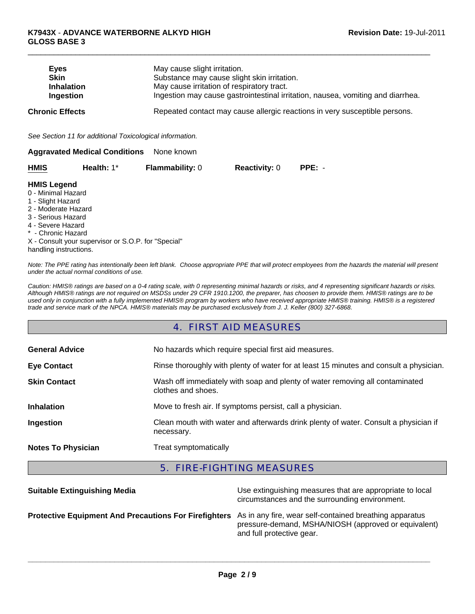| <b>Eves</b>            | May cause slight irritation.                                                    |
|------------------------|---------------------------------------------------------------------------------|
| <b>Skin</b>            | Substance may cause slight skin irritation.                                     |
| <b>Inhalation</b>      | May cause irritation of respiratory tract.                                      |
| Ingestion              | Ingestion may cause gastrointestinal irritation, nausea, vomiting and diarrhea. |
| <b>Chronic Effects</b> | Repeated contact may cause allergic reactions in very susceptible persons.      |

 $\Box$ 

*See Section 11 for additional Toxicological information.*

| <b>Aggravated Medical Conditions</b> | None known |
|--------------------------------------|------------|
|--------------------------------------|------------|

| <b>HMIS</b> | Health: $1^*$ | <b>Flammability: 0</b> | <b>Reactivity: 0</b> | $PPE: -$ |
|-------------|---------------|------------------------|----------------------|----------|
|             |               |                        |                      |          |

#### **HMIS Legend**

- 0 Minimal Hazard
- 1 Slight Hazard
- 2 Moderate Hazard
- 3 Serious Hazard
- 4 Severe Hazard
- \* Chronic Hazard

X - Consult your supervisor or S.O.P. for "Special" handling instructions.

*Note: The PPE rating has intentionally been left blank. Choose appropriate PPE that will protect employees from the hazards the material will present under the actual normal conditions of use.*

*Caution: HMIS® ratings are based on a 0-4 rating scale, with 0 representing minimal hazards or risks, and 4 representing significant hazards or risks. Although HMIS® ratings are not required on MSDSs under 29 CFR 1910.1200, the preparer, has choosen to provide them. HMIS® ratings are to be used only in conjunction with a fully implemented HMIS® program by workers who have received appropriate HMIS® training. HMIS® is a registered trade and service mark of the NPCA. HMIS® materials may be purchased exclusively from J. J. Keller (800) 327-6868.*

## 4. FIRST AID MEASURES

| <b>General Advice</b>     | No hazards which require special first aid measures.                                               |
|---------------------------|----------------------------------------------------------------------------------------------------|
| <b>Eye Contact</b>        | Rinse thoroughly with plenty of water for at least 15 minutes and consult a physician.             |
| <b>Skin Contact</b>       | Wash off immediately with soap and plenty of water removing all contaminated<br>clothes and shoes. |
| <b>Inhalation</b>         | Move to fresh air. If symptoms persist, call a physician.                                          |
| Ingestion                 | Clean mouth with water and afterwards drink plenty of water. Consult a physician if<br>necessary.  |
| <b>Notes To Physician</b> | Treat symptomatically                                                                              |

## 5. FIRE-FIGHTING MEASURES

| <b>Suitable Extinguishing Media</b>                                                                           | Use extinguishing measures that are appropriate to local<br>circumstances and the surrounding environment. |
|---------------------------------------------------------------------------------------------------------------|------------------------------------------------------------------------------------------------------------|
| Protective Equipment And Precautions For Firefighters As in any fire, wear self-contained breathing apparatus | pressure-demand, MSHA/NIOSH (approved or equivalent)<br>and full protective gear.                          |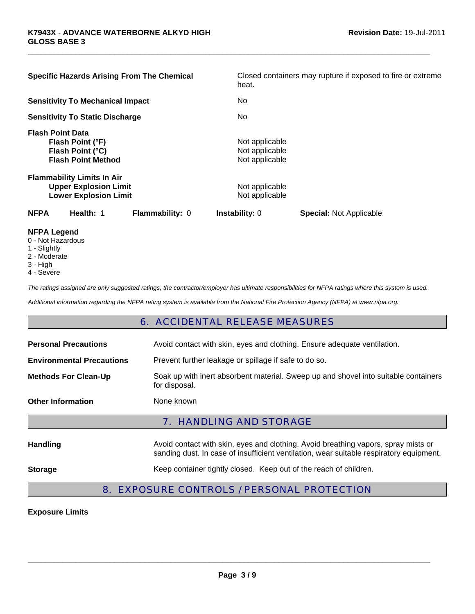| <b>Specific Hazards Arising From The Chemical</b>                                                 | Closed containers may rupture if exposed to fire or extreme<br>heat. |
|---------------------------------------------------------------------------------------------------|----------------------------------------------------------------------|
| <b>Sensitivity To Mechanical Impact</b>                                                           | No.                                                                  |
| <b>Sensitivity To Static Discharge</b>                                                            | No.                                                                  |
| <b>Flash Point Data</b><br>Flash Point (°F)<br>Flash Point (°C)<br><b>Flash Point Method</b>      | Not applicable<br>Not applicable<br>Not applicable                   |
| <b>Flammability Limits In Air</b><br><b>Upper Explosion Limit</b><br><b>Lower Explosion Limit</b> | Not applicable<br>Not applicable                                     |
| <b>NFPA</b><br>Health: 1<br><b>Flammability: 0</b>                                                | <b>Instability: 0</b><br><b>Special: Not Applicable</b>              |

 $\Box$ 

- **NFPA Legend**
- 0 Not Hazardous
- 1 Slightly
- 2 Moderate
- 3 High
- 4 Severe

*The ratings assigned are only suggested ratings, the contractor/employer has ultimate responsibilities for NFPA ratings where this system is used.*

*Additional information regarding the NFPA rating system is available from the National Fire Protection Agency (NFPA) at www.nfpa.org.*

#### 6. ACCIDENTAL RELEASE MEASURES

| <b>Personal Precautions</b>      | Avoid contact with skin, eyes and clothing. Ensure adequate ventilation.                                                                                                      |
|----------------------------------|-------------------------------------------------------------------------------------------------------------------------------------------------------------------------------|
| <b>Environmental Precautions</b> | Prevent further leakage or spillage if safe to do so.                                                                                                                         |
| <b>Methods For Clean-Up</b>      | Soak up with inert absorbent material. Sweep up and shovel into suitable containers<br>for disposal.                                                                          |
| <b>Other Information</b>         | None known                                                                                                                                                                    |
|                                  |                                                                                                                                                                               |
|                                  | <b>7. HANDLING AND STORAGE</b>                                                                                                                                                |
| <b>Handling</b>                  | Avoid contact with skin, eyes and clothing. Avoid breathing vapors, spray mists or<br>sanding dust. In case of insufficient ventilation, wear suitable respiratory equipment. |

## 8. EXPOSURE CONTROLS / PERSONAL PROTECTION

**Exposure Limits**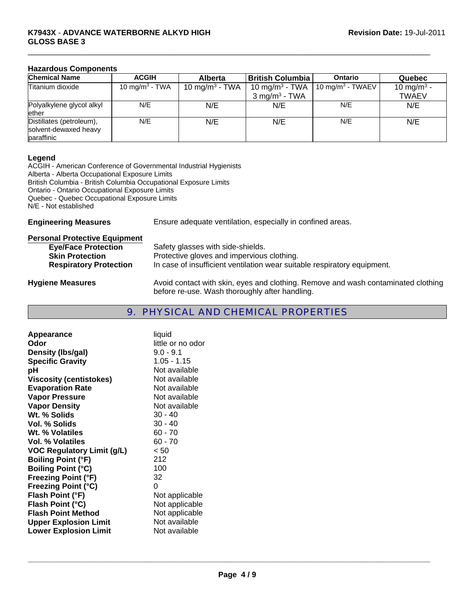#### **K7943X** - **ADVANCE WATERBORNE ALKYD HIGH GLOSS BASE 3**

#### **Hazardous Components**

| <b>Chemical Name</b>                                            | <b>ACGIH</b>               | <b>Alberta</b>             | <b>British Columbia</b>    | <b>Ontario</b>               | Quebec                 |
|-----------------------------------------------------------------|----------------------------|----------------------------|----------------------------|------------------------------|------------------------|
| Titanium dioxide                                                | 10 mg/m <sup>3</sup> - TWA | 10 mg/m <sup>3</sup> - TWA | 10 mg/m <sup>3</sup> - TWA | 10 mg/m <sup>3</sup> - TWAEV | 10 mg/m <sup>3</sup> - |
|                                                                 |                            |                            | $3 \text{ mg/m}^3$ - TWA   |                              | <b>TWAEV</b>           |
| Polyalkylene glycol alkyl<br>ether                              | N/E                        | N/E                        | N/E                        | N/E                          | N/E                    |
| Distillates (petroleum),<br>solvent-dewaxed heavy<br>paraffinic | N/E                        | N/E                        | N/E                        | N/E                          | N/E                    |

 $\Box$ 

#### **Legend**

ACGIH - American Conference of Governmental Industrial Hygienists Alberta - Alberta Occupational Exposure Limits British Columbia - British Columbia Occupational Exposure Limits Ontario - Ontario Occupational Exposure Limits Quebec - Quebec Occupational Exposure Limits N/E - Not established

**Engineering Measures** Ensure adequate ventilation, especially in confined areas.

| <b>Personal Protective Equipment</b> |                                                                                                                                     |
|--------------------------------------|-------------------------------------------------------------------------------------------------------------------------------------|
| <b>Eye/Face Protection</b>           | Safety glasses with side-shields.                                                                                                   |
| <b>Skin Protection</b>               | Protective gloves and impervious clothing.                                                                                          |
| <b>Respiratory Protection</b>        | In case of insufficient ventilation wear suitable respiratory equipment.                                                            |
| <b>Hygiene Measures</b>              | Avoid contact with skin, eyes and clothing. Remove and wash contaminated clothing<br>before re-use. Wash thoroughly after handling. |

### 9. PHYSICAL AND CHEMICAL PROPERTIES

| Appearance                        | liquid            |
|-----------------------------------|-------------------|
| Odor                              | little or no odor |
| Density (Ibs/gal)                 | $9.0 - 9.1$       |
| <b>Specific Gravity</b>           | $1.05 - 1.15$     |
| рH                                | Not available     |
| <b>Viscosity (centistokes)</b>    | Not available     |
| <b>Evaporation Rate</b>           | Not available     |
| <b>Vapor Pressure</b>             | Not available     |
| <b>Vapor Density</b>              | Not available     |
| Wt. % Solids                      | 30 - 40           |
| Vol. % Solids                     | $30 - 40$         |
| Wt. % Volatiles                   | $60 - 70$         |
| Vol. % Volatiles                  | $60 - 70$         |
| <b>VOC Regulatory Limit (g/L)</b> | < 50              |
| <b>Boiling Point (°F)</b>         | 212               |
| <b>Boiling Point (°C)</b>         | 100               |
| <b>Freezing Point (°F)</b>        | 32                |
| <b>Freezing Point (°C)</b>        | 0                 |
| Flash Point (°F)                  | Not applicable    |
| Flash Point (°C)                  | Not applicable    |
| <b>Flash Point Method</b>         | Not applicable    |
| <b>Upper Explosion Limit</b>      | Not available     |
| <b>Lower Explosion Limit</b>      | Not available     |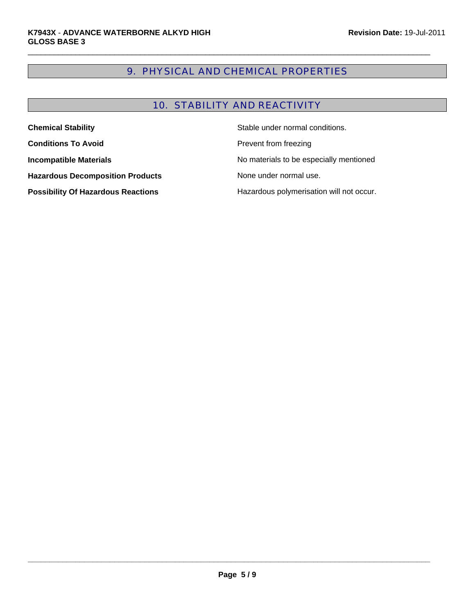## 9. PHYSICAL AND CHEMICAL PROPERTIES

 $\Box$ 

## 10. STABILITY AND REACTIVITY

| <b>Chemical Stability</b>                 | Stable under normal conditions.          |
|-------------------------------------------|------------------------------------------|
| <b>Conditions To Avoid</b>                | Prevent from freezing                    |
| <b>Incompatible Materials</b>             | No materials to be especially mentioned  |
| <b>Hazardous Decomposition Products</b>   | None under normal use.                   |
| <b>Possibility Of Hazardous Reactions</b> | Hazardous polymerisation will not occur. |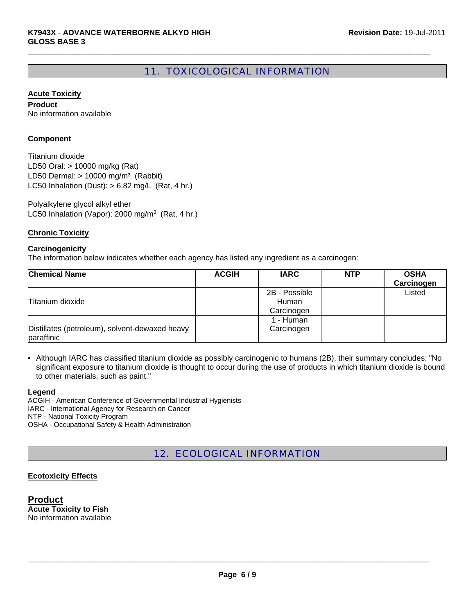## 11. TOXICOLOGICAL INFORMATION

 $\Box$ 

#### **Acute Toxicity**

**Product** No information available

#### **Component**

LD50 Oral: > 10000 mg/kg (Rat) LD50 Dermal:  $> 10000$  mg/m<sup>3</sup> (Rabbit) Titanium dioxide LC50 Inhalation (Dust):  $> 6.82$  mg/L (Rat, 4 hr.)

LC50 Inhalation (Vapor): 2000 mg/m<sup>3</sup> (Rat, 4 hr.) Polyalkylene glycol alkyl ether

#### **Chronic Toxicity**

#### **Carcinogenicity**

The information below indicates whether each agency has listed any ingredient as a carcinogen:

| <b>Chemical Name</b>                                         | <b>ACGIH</b> | <b>IARC</b>                          | <b>NTP</b> | <b>OSHA</b><br>Carcinogen |
|--------------------------------------------------------------|--------------|--------------------------------------|------------|---------------------------|
| Titanium dioxide                                             |              | 2B - Possible<br>Human<br>Carcinogen |            | Listed                    |
| Distillates (petroleum), solvent-dewaxed heavy<br>paraffinic |              | 1 - Human<br>Carcinogen              |            |                           |

• Although IARC has classified titanium dioxide as possibly carcinogenic to humans (2B), their summary concludes: "No significant exposure to titanium dioxide is thought to occur during the use of products in which titanium dioxide is bound to other materials, such as paint."

#### **Legend**

ACGIH - American Conference of Governmental Industrial Hygienists IARC - International Agency for Research on Cancer NTP - National Toxicity Program OSHA - Occupational Safety & Health Administration

## 12. ECOLOGICAL INFORMATION

#### **Ecotoxicity Effects**

**Product Acute Toxicity to Fish** No information available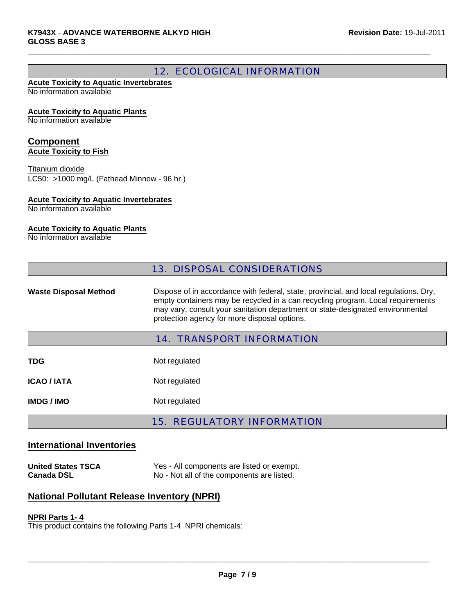## 12. ECOLOGICAL INFORMATION

 $\Box$ 

#### **Acute Toxicity to Aquatic Invertebrates** No information available

#### **Acute Toxicity to Aquatic Plants**

No information available

#### **Component Acute Toxicity to Fish**

LC50: >1000 mg/L (Fathead Minnow - 96 hr.) Titanium dioxide

#### **Acute Toxicity to Aquatic Invertebrates**

No information available

#### **Acute Toxicity to Aquatic Plants**

No information available

|                              | <b>13. DISPOSAL CONSIDERATIONS</b>                                                                                                                                                                                                                                                                         |
|------------------------------|------------------------------------------------------------------------------------------------------------------------------------------------------------------------------------------------------------------------------------------------------------------------------------------------------------|
| <b>Waste Disposal Method</b> | Dispose of in accordance with federal, state, provincial, and local regulations. Dry,<br>empty containers may be recycled in a can recycling program. Local requirements<br>may vary, consult your sanitation department or state-designated environmental<br>protection agency for more disposal options. |
|                              | <b>14. TRANSPORT INFORMATION</b>                                                                                                                                                                                                                                                                           |
| <b>TDG</b>                   | Not regulated                                                                                                                                                                                                                                                                                              |
| <b>ICAO / IATA</b>           | Not regulated                                                                                                                                                                                                                                                                                              |
| <b>IMDG/IMO</b>              | Not regulated                                                                                                                                                                                                                                                                                              |

### 15. REGULATORY INFORMATION

#### **International Inventories**

**United States TSCA** Yes - All components are listed or exempt.<br> **Canada DSL No - Not all of the components are listed.** No - Not all of the components are listed.

## **National Pollutant Release Inventory (NPRI)**

#### **NPRI Parts 1- 4**

This product contains the following Parts 1-4 NPRI chemicals: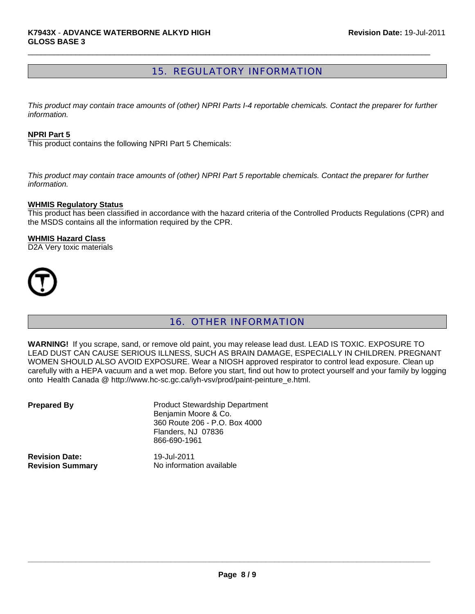## 15. REGULATORY INFORMATION

 $\Box$ 

*This product may contain trace amounts of (other) NPRI Parts I-4 reportable chemicals. Contact the preparer for further information.*

#### **NPRI Part 5**

This product contains the following NPRI Part 5 Chemicals:

*This product may contain trace amounts of (other) NPRI Part 5 reportable chemicals. Contact the preparer for further information.*

#### **WHMIS Regulatory Status**

This product has been classified in accordance with the hazard criteria of the Controlled Products Regulations (CPR) and the MSDS contains all the information required by the CPR.

#### **WHMIS Hazard Class**

D2A Very toxic materials



## 16. OTHER INFORMATION

**WARNING!** If you scrape, sand, or remove old paint, you may release lead dust. LEAD IS TOXIC. EXPOSURE TO LEAD DUST CAN CAUSE SERIOUS ILLNESS, SUCH AS BRAIN DAMAGE, ESPECIALLY IN CHILDREN. PREGNANT WOMEN SHOULD ALSO AVOID EXPOSURE. Wear a NIOSH approved respirator to control lead exposure. Clean up carefully with a HEPA vacuum and a wet mop. Before you start, find out how to protect yourself and your family by logging onto Health Canada @ http://www.hc-sc.gc.ca/iyh-vsv/prod/paint-peinture\_e.html.

| <b>Prepared By</b>      | <b>Product Stewardship Department</b><br>Benjamin Moore & Co.<br>360 Route 206 - P.O. Box 4000<br>Flanders, NJ 07836<br>866-690-1961 |
|-------------------------|--------------------------------------------------------------------------------------------------------------------------------------|
| <b>Revision Date:</b>   | 19-Jul-2011                                                                                                                          |
| <b>Revision Summary</b> | No information available                                                                                                             |